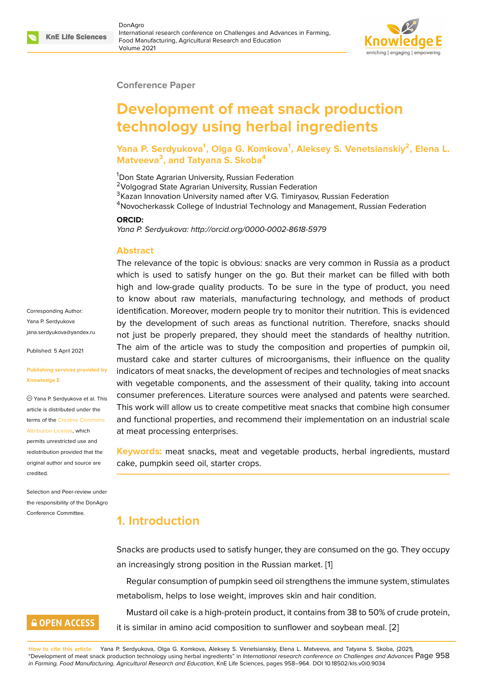

#### **Conference Paper**

# **Development of meat snack production technology using herbal ingredients**

### **Yana P. Serdyukova<sup>1</sup> , Olga G. Komkova<sup>1</sup> , Aleksey S. Venetsianskiy<sup>2</sup> , Elena L. Matveeva<sup>3</sup> , and Tatyana S. Skoba<sup>4</sup>**

<sup>1</sup>Don State Agrarian University, Russian Federation <sup>2</sup>Volgograd State Agrarian University, Russian Federation <sup>3</sup> Kazan Innovation University named after V.G. Timiryasov, Russian Federation <sup>4</sup>Novocherkassk College of Industrial Technology and Management, Russian Federation

#### **ORCID:**

*Yana P. Serdyukova: http://orcid.org/0000-0002-8618-5979*

#### **Abstract**

The relevance of the topic is obvious: snacks are very common in Russia as a product which is used to satisfy hunger on the go. But their market can be filled with both high and low-grade quality products. To be sure in the type of product, you need to know about raw materials, manufacturing technology, and methods of product identification. Moreover, modern people try to monitor their nutrition. This is evidenced by the development of such areas as functional nutrition. Therefore, snacks should not just be properly prepared, they should meet the standards of healthy nutrition. The aim of the article was to study the composition and properties of pumpkin oil, mustard cake and starter cultures of microorganisms, their influence on the quality indicators of meat snacks, the development of recipes and technologies of meat snacks with vegetable components, and the assessment of their quality, taking into account consumer preferences. Literature sources were analysed and patents were searched. This work will allow us to create competitive meat snacks that combine high consumer and functional properties, and recommend their implementation on an industrial scale at meat processing enterprises.

**Keywords:** meat snacks, meat and vegetable products, herbal ingredients, mustard cake, pumpkin seed oil, starter crops.

### **1. Introduction**

Snacks are products used to satisfy hunger, they are consumed on the go. They occupy an increasingly strong position in the Russian market. [1]

Regular consumption of pumpkin seed oil strengthens the immune system, stimulates metabolism, helps to lose weight, improves skin and hair condition.

Mustard oil cake is a high-protein product, it contains [fr](#page-6-0)om 38 to 50% of crude protein, it is similar in amino acid composition to sunflower and soybean meal. [2]

Corresponding Author: Yana P. Serdyukova jana.serdyukova@yandex.ru

Published: 5 April 2021

#### **[Publishing services provide](mailto:jana.serdyukova@yandex.ru)d by Knowledge E**

Yana P. Serdyukova et al. This article is distributed under the terms of the Creative Commons Attribution License, which

permits unrestricted use and redistribution provided that the original auth[or and source are](https://creativecommons.org/licenses/by/4.0/) [credited.](https://creativecommons.org/licenses/by/4.0/)

Selection and Peer-review under the responsibility of the DonAgro Conference Committee.

# **GOPEN ACCESS**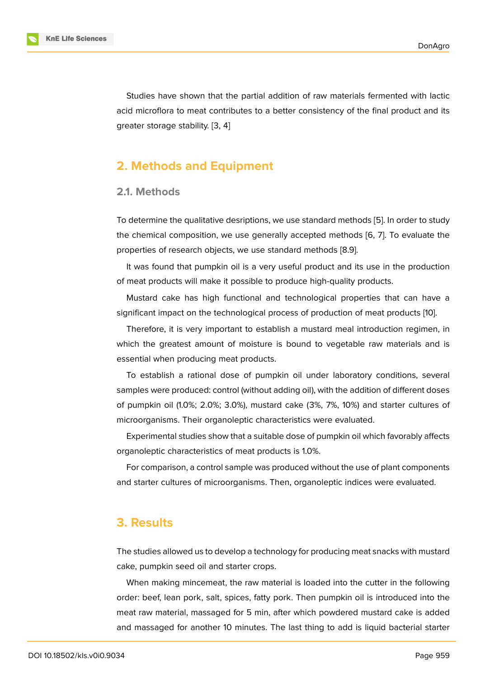Studies have shown that the partial addition of raw materials fermented with lactic acid microflora to meat contributes to a better consistency of the final product and its greater storage stability. [3, 4]

### **2. Methods and [E](#page-6-1)[qu](#page-6-2)ipment**

### **2.1. Methods**

To determine the qualitative desriptions, we use standard methods [5]. In order to study the chemical composition, we use generally accepted methods [6, 7]. To evaluate the properties of research objects, we use standard methods [8.9].

It was found that pumpkin oil is a very useful product and its us[e](#page-6-3) in the production of meat products will make it possible to produce high-quality pr[od](#page-6-4)[uc](#page-6-5)ts.

Mustard cake has high functional and technological properties that can have a significant impact on the technological process of production of meat products [10].

Therefore, it is very important to establish a mustard meal introduction regimen, in which the greatest amount of moisture is bound to vegetable raw materials and is essential when producing meat products.

To establish a rational dose of pumpkin oil under laboratory conditions, several samples were produced: control (without adding oil), with the addition of different doses of pumpkin oil (1.0%; 2.0%; 3.0%), mustard cake (3%, 7%, 10%) and starter cultures of microorganisms. Their organoleptic characteristics were evaluated.

Experimental studies show that a suitable dose of pumpkin oil which favorably affects organoleptic characteristics of meat products is 1.0%.

For comparison, a control sample was produced without the use of plant components and starter cultures of microorganisms. Then, organoleptic indices were evaluated.

### **3. Results**

The studies allowed us to develop a technology for producing meat snacks with mustard cake, pumpkin seed oil and starter crops.

When making mincemeat, the raw material is loaded into the cutter in the following order: beef, lean pork, salt, spices, fatty pork. Then pumpkin oil is introduced into the meat raw material, massaged for 5 min, after which powdered mustard cake is added and massaged for another 10 minutes. The last thing to add is liquid bacterial starter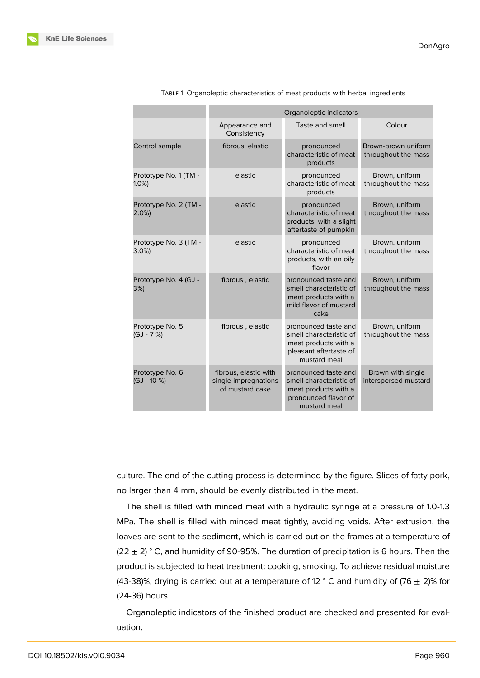|                                  | Organoleptic indicators                                          |                                                                                                                   |                                            |
|----------------------------------|------------------------------------------------------------------|-------------------------------------------------------------------------------------------------------------------|--------------------------------------------|
|                                  | Appearance and<br>Consistency                                    | Taste and smell                                                                                                   | Colour                                     |
| Control sample                   | fibrous, elastic                                                 | pronounced<br>characteristic of meat<br>products                                                                  | Brown-brown uniform<br>throughout the mass |
| Prototype No. 1 (TM -<br>$1.0\%$ | elastic                                                          | pronounced<br>characteristic of meat<br>products                                                                  | Brown, uniform<br>throughout the mass      |
| Prototype No. 2 (TM -<br>2.0%    | elastic                                                          | pronounced<br>characteristic of meat<br>products, with a slight<br>aftertaste of pumpkin                          | Brown, uniform<br>throughout the mass      |
| Prototype No. 3 (TM -<br>$3.0\%$ | elastic                                                          | pronounced<br>characteristic of meat<br>products, with an oily<br>flavor                                          | Brown, uniform<br>throughout the mass      |
| Prototype No. 4 (GJ -<br>3%)     | fibrous, elastic                                                 | pronounced taste and<br>smell characteristic of<br>meat products with a<br>mild flavor of mustard<br>cake         | Brown, uniform<br>throughout the mass      |
| Prototype No. 5<br>$(GJ - 7%)$   | fibrous, elastic                                                 | pronounced taste and<br>smell characteristic of<br>meat products with a<br>pleasant aftertaste of<br>mustard meal | Brown, uniform<br>throughout the mass      |
| Prototype No. 6<br>$(GJ - 10 %$  | fibrous, elastic with<br>single impregnations<br>of mustard cake | pronounced taste and<br>smell characteristic of<br>meat products with a<br>pronounced flavor of<br>mustard meal   | Brown with single<br>interspersed mustard  |
|                                  |                                                                  |                                                                                                                   |                                            |

TABLE 1: Organoleptic characteristics of meat products with herbal ingredients

culture. The end of the cutting process is determined by the figure. Slices of fatty pork, no larger than 4 mm, should be evenly distributed in the meat.

The shell is filled with minced meat with a hydraulic syringe at a pressure of 1.0-1.3 MPa. The shell is filled with minced meat tightly, avoiding voids. After extrusion, the loaves are sent to the sediment, which is carried out on the frames at a temperature of  $(22 \pm 2)$  ° C, and humidity of 90-95%. The duration of precipitation is 6 hours. Then the product is subjected to heat treatment: cooking, smoking. To achieve residual moisture (43-38)%, drying is carried out at a temperature of 12  $\degree$  C and humidity of (76  $\pm$  2)% for (24-36) hours.

Organoleptic indicators of the finished product are checked and presented for evaluation.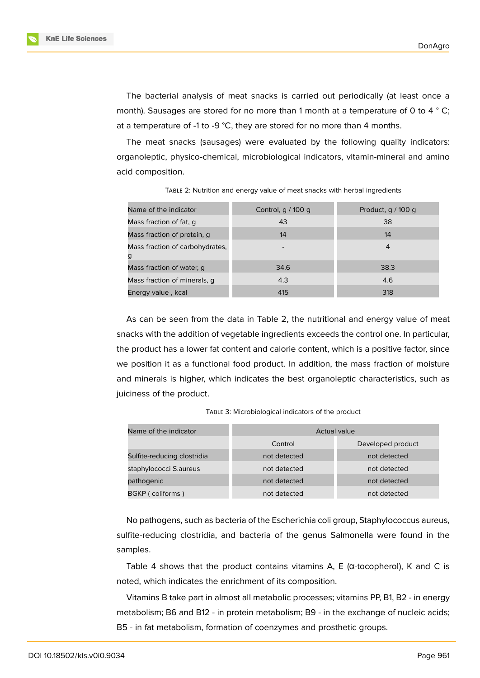**KnE Life Sciences** 



The bacterial analysis of meat snacks is carried out periodically (at least once a month). Sausages are stored for no more than 1 month at a temperature of 0 to 4 ° C; at a temperature of -1 to -9 °C, they are stored for no more than 4 months.

The meat snacks (sausages) were evaluated by the following quality indicators: organoleptic, physico-chemical, microbiological indicators, vitamin-mineral and amino acid composition.

| Name of the indicator                | Control, $q / 100 q$ | Product, $g/100 g$ |
|--------------------------------------|----------------------|--------------------|
| Mass fraction of fat, q              | 43                   | 38                 |
| Mass fraction of protein, q          | 14                   | 14                 |
| Mass fraction of carbohydrates,<br>g |                      | 4                  |
| Mass fraction of water, q            | 34.6                 | 38.3               |
| Mass fraction of minerals, q         | 4.3                  | 4.6                |
| Energy value, kcal                   | 415                  | 318                |

TABLE 2: Nutrition and energy value of meat snacks with herbal ingredients

As can be seen from the data in Table 2, the nutritional and energy value of meat snacks with the addition of vegetable ingredients exceeds the control one. In particular, the product has a lower fat content and calorie content, which is a positive factor, since we position it as a functional food product. In addition, the mass fraction of moisture and minerals is higher, which indicates the best organoleptic characteristics, such as juiciness of the product.

| TABLE 3: Microbiological indicators of the product |  |  |
|----------------------------------------------------|--|--|
|----------------------------------------------------|--|--|

| Name of the indicator       | <b>Actual value</b> |                   |  |
|-----------------------------|---------------------|-------------------|--|
|                             | Control             | Developed product |  |
| Sulfite-reducing clostridia | not detected        | not detected      |  |
| staphylococci S.aureus      | not detected        | not detected      |  |
| pathogenic                  | not detected        | not detected      |  |
| BGKP (coliforms)            | not detected        | not detected      |  |

No pathogens, such as bacteria of the Escherichia coli group, Staphylococcus aureus, sulfite-reducing clostridia, and bacteria of the genus Salmonella were found in the samples.

Table 4 shows that the product contains vitamins  $A$ ,  $E$  ( $\alpha$ -tocopherol), K and C is noted, which indicates the enrichment of its composition.

Vitamins B take part in almost all metabolic processes; vitamins PP, B1, B2 - in energy metabolism; B6 and B12 - in protein metabolism; B9 - in the exchange of nucleic acids; B5 - in fat metabolism, formation of coenzymes and prosthetic groups.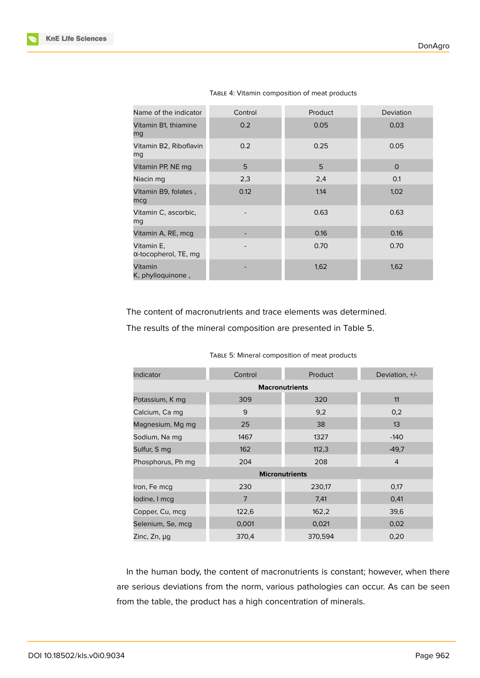| Name of the indicator                      | Control | Product | Deviation    |
|--------------------------------------------|---------|---------|--------------|
| Vitamin B1, thiamine<br>mg                 | 0.2     | 0.05    | 0,03         |
| Vitamin B2, Riboflavin<br>mg               | 0.2     | 0.25    | 0.05         |
| Vitamin PP, NE mg                          | 5       | 5       | $\mathbf{O}$ |
| Niacin mg                                  | 2,3     | 2,4     | 0.1          |
| Vitamin B9, folates,<br>mcg                | 0.12    | 1.14    | 1,02         |
| Vitamin C, ascorbic,<br>mg                 |         | 0.63    | 0.63         |
| Vitamin A, RE, mcg                         |         | 0.16    | 0.16         |
| Vitamin E,<br>$\alpha$ -tocopherol, TE, mq |         | 0.70    | 0.70         |
| Vitamin<br>K, phylloquinone,               |         | 1,62    | 1,62         |

TABLE 4: Vitamin composition of meat products

The content of macronutrients and trace elements was determined.

The results of the mineral composition are presented in Table 5.

| Indicator             | Control        | Product | Deviation, +/- |
|-----------------------|----------------|---------|----------------|
| <b>Macronutrients</b> |                |         |                |
| Potassium, K mg       | 309            | 320     | 11             |
| Calcium, Ca mg        | 9              | 9,2     | 0,2            |
| Magnesium, Mg mg      | 25             | 38      | 13             |
| Sodium, Na mg         | 1467           | 1327    | $-140$         |
| Sulfur, S mg          | 162            | 112,3   | $-49,7$        |
| Phosphorus, Ph mg     | 204            | 208     | $\overline{4}$ |
| <b>Micronutrients</b> |                |         |                |
| Iron, Fe mcq          | 230            | 230,17  | 0,17           |
| lodine, I mcq         | $\overline{7}$ | 7,41    | 0,41           |
| Copper, Cu, mcg       | 122,6          | 162,2   | 39,6           |
| Selenium, Se, mcg     | 0,001          | 0,021   | 0,02           |
| Zinc, Zn, µg          | 370,4          | 370,594 | 0,20           |

TABLE 5: Mineral composition of meat products

In the human body, the content of macronutrients is constant; however, when there are serious deviations from the norm, various pathologies can occur. As can be seen from the table, the product has a high concentration of minerals.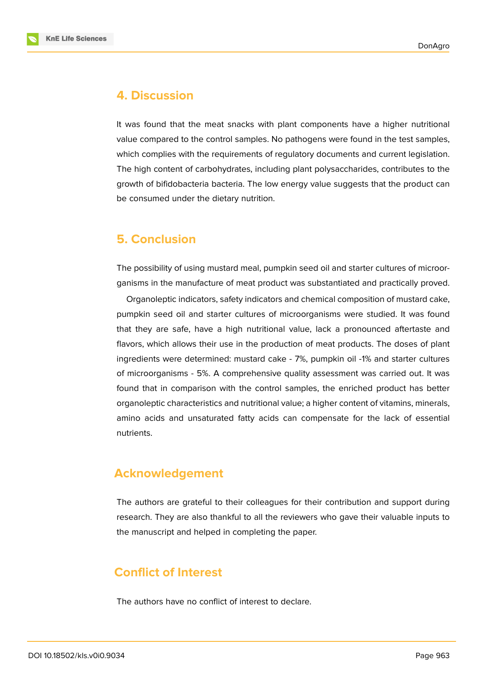



# **4. Discussion**

It was found that the meat snacks with plant components have a higher nutritional value compared to the control samples. No pathogens were found in the test samples, which complies with the requirements of regulatory documents and current legislation. The high content of carbohydrates, including plant polysaccharides, contributes to the growth of bifidobacteria bacteria. The low energy value suggests that the product can be consumed under the dietary nutrition.

# **5. Conclusion**

The possibility of using mustard meal, pumpkin seed oil and starter cultures of microorganisms in the manufacture of meat product was substantiated and practically proved.

Organoleptic indicators, safety indicators and chemical composition of mustard cake, pumpkin seed oil and starter cultures of microorganisms were studied. It was found that they are safe, have a high nutritional value, lack a pronounced aftertaste and flavors, which allows their use in the production of meat products. The doses of plant ingredients were determined: mustard cake - 7%, pumpkin oil -1% and starter cultures of microorganisms - 5%. A comprehensive quality assessment was carried out. It was found that in comparison with the control samples, the enriched product has better organoleptic characteristics and nutritional value; a higher content of vitamins, minerals, amino acids and unsaturated fatty acids can compensate for the lack of essential nutrients.

# **Acknowledgement**

The authors are grateful to their colleagues for their contribution and support during research. They are also thankful to all the reviewers who gave their valuable inputs to the manuscript and helped in completing the paper.

# **Conflict of Interest**

The authors have no conflict of interest to declare.